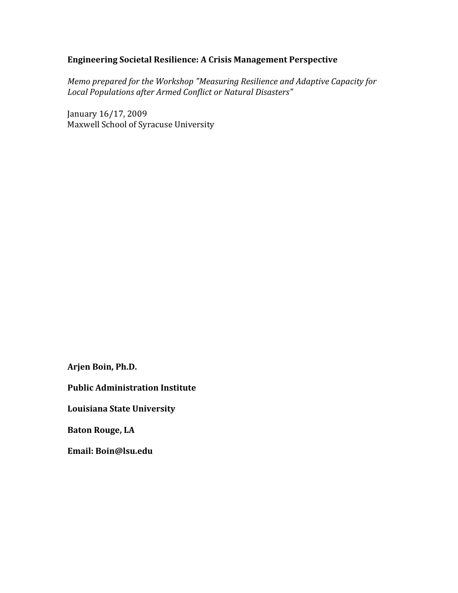## **Engineering Societal Resilience: A Crisis Management Perspective**

*Memo prepared for the Workshop "Measuring Resilience and Adaptive Capacity for Local Populations after Armed Conflict or Natural Disasters"*

January 16/17, 2009 Maxwell School of Syracuse University

**Arjen Boin, Ph.D.**

**Public Administration Institute**

**Louisiana State University**

**Baton Rouge, LA** 

**Email: Boin@lsu.edu**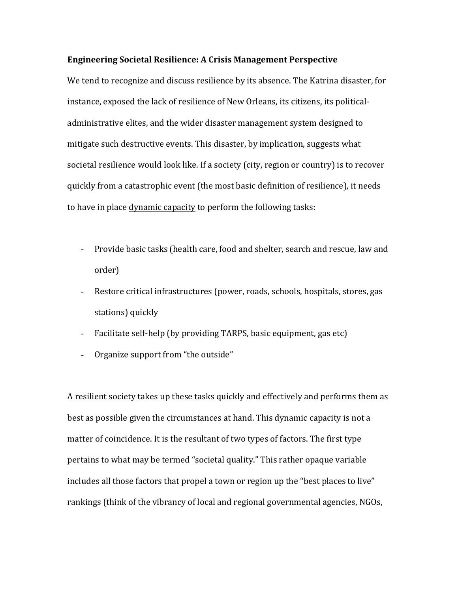## **Engineering Societal Resilience: A Crisis Management Perspective**

We tend to recognize and discuss resilience by its absence. The Katrina disaster, for instance, exposed the lack of resilience of New Orleans, its citizens, its politicaladministrative elites, and the wider disaster management system designed to mitigate such destructive events. This disaster, by implication, suggests what societal resilience would look like. If a society (city, region or country) is to recover quickly from a catastrophic event (the most basic definition of resilience), it needs to have in place dynamic capacity to perform the following tasks:

- Provide basic tasks (health care, food and shelter, search and rescue, law and order)
- Restore critical infrastructures (power, roads, schools, hospitals, stores, gas stations) quickly
- Facilitate self-help (by providing TARPS, basic equipment, gas etc)
- Organize support from "the outside"

A resilient society takes up these tasks quickly and effectively and performs them as best as possible given the circumstances at hand. This dynamic capacity is not a matter of coincidence. It is the resultant of two types of factors. The first type pertains to what may be termed "societal quality." This rather opaque variable includes all those factors that propel a town or region up the "best places to live" rankings (think of the vibrancy of local and regional governmental agencies, NGOs,